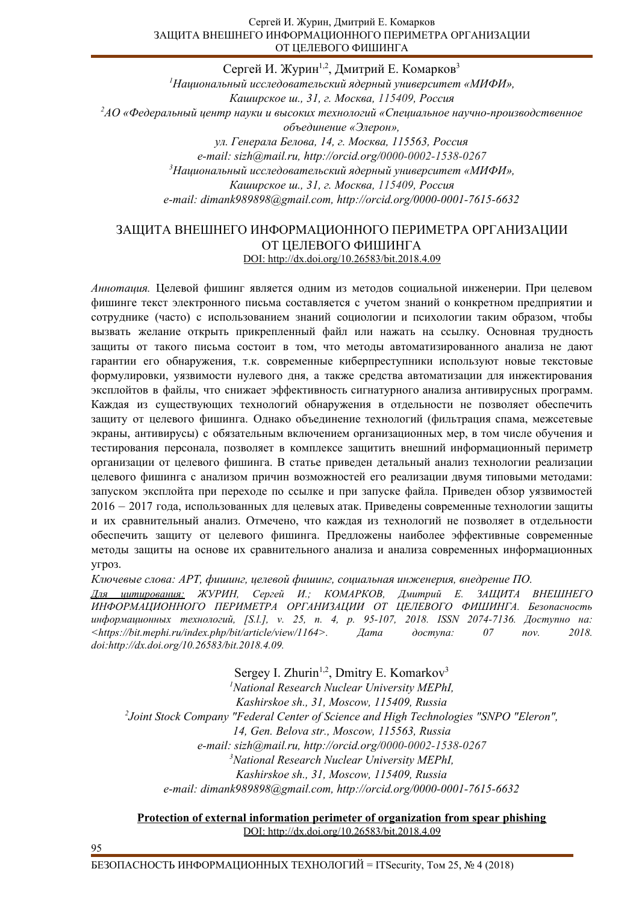#### Сергей И. Журин, Дмитрий Е. Комарков ЗАЩИТА ВНЕШНЕГО ИНФОРМАЦИОННОГО ПЕРИМЕТРА ОРГАНИЗАЦИИ ОТ ЦЕЛЕВОГО ФИШИНГА

Сергей И. Журин<sup>1,2</sup>, Дмитрий Е. Комарков<sup>3</sup> <sup>1</sup>Национальный исследовательский ядерный университет «МИФИ», Каширское ш., 31, г. Москва, 115409, Россия <sup>2</sup><sup>*д*О «Федеральный центр науки и высоких технологий «Специальное научно-производственное</sup>  $o$ бъединение «Элерон», ул. Генерала Белова, 14, г. Москва, 115563, Россия *e-mail: sizh@mail.ru, http://orcid.org/0000-0002-1538-0267* <sup>3</sup>Национальный исследовательский ядерный университет «МИФИ», *Каширское ш., 31, г. Москва, 115409, Россия e-mail: dimank989898@gmail.com, http://orcid.org/0000-0001-7615-6632* 

## ЗАЩИТА ВНЕШНЕГО ИНФОРМАЦИОННОГО ПЕРИМЕТРА ОРГАНИЗАЦИИ ОТ ЦЕЛЕВОГО ФИШИНГА DOI: http://dx.doi.org/10.26583/bit.2018.4.09

Аннотация. Целевой фишинг является одним из методов социальной инженерии. При целевом фишинге текст электронного письма составляется с учетом знаний о конкретном предприятии и сотруднике (часто) с использованием знаний социологии и психологии таким образом, чтобы вызвать желание открыть прикрепленный файл или нажать на ссылку. Основная трудность защиты от такого письма состоит в том, что методы автоматизированного анализа не дают гарантии его обнаружения, т.к. современные киберпреступники используют новые текстовые формулировки, уязвимости нулевого дня, а также средства автоматизации для инжектирования эксплойтов в файлы, что снижает эффективность сигнатурного анализа антивирусных программ. Каждая из существующих технологий обнаружения в отдельности не позволяет обеспечить защиту от целевого фишинга. Однако объединение технологий (фильтрация спама, межсетевые экраны, антивирусы) с обязательным включением организационных мер, в том числе обучения и тестирования персонала, позволяет в комплексе защитить внешний информационный периметр организации от целевого фишинга. В статье приведен детальный анализ технологии реализации целевого фишинга с анализом причин возможностей его реализации двумя типовыми методами: запуском эксплойта при переходе по ссылке и при запуске файла. Приведен обзор уязвимостей 2016 – 2017 года, использованных для целевых атак. Приведены современные технологии защиты и их сравнительный анализ. Отмечено, что каждая из технологий не позволяет в отдельности обеспечить защиту от целевого фишинга. Предложены наиболее эффективные современные методы защиты на основе их сравнительного анализа и анализа современных информационных угроз.

Kлючевые слова: APT, фишинг, целевой фишинг, социальная инженерия, внедрение ПО.

Для цитирования: ЖУРИН, Сергей И.; КОМАРКОВ, Дмитрий Е. ЗАЩИТА ВНЕШНЕГО ИНФОРМАЦИОННОГО ПЕРИМЕТРА ОРГАНИЗАЦИИ ОТ ЦЕЛЕВОГО ФИШИНГА. Безопасность uнформационных технологий, [S.l.], v. 25, n. 4, p. 95-107, 2018. ISSN 2074-7136. Доступно на: *<https://bit.mephi.ru/index.php/bit/article/view/1164>. Ⱦɚɬɚ ɞɨɫɬɭɩɚ: 07 nov. 2018. doi:http://dx.doi.org/10.26583/bit.2018.4.09.* 

Sergey I. Zhurin<sup>1,2</sup>, Dmitry E. Komarkov<sup>3</sup> *<sup>1</sup>National Research Nuclear University MEPhI, Kashirskoe sh., 31, Moscow, 115409, Russia 2 Joint Stock Company "Federal Center of Science and High Technologies "SNPO "Eleron", 14, Gen. Belova str., Moscow, 115563, Russia e-mail: sizh@mail.ru, http://orcid.org/0000-0002-1538-0267 <sup>3</sup>National Research Nuclear University MEPhI, Kashirskoe sh., 31, Moscow, 115409, Russia e-mail: dimank989898@gmail.com, http://orcid.org/0000-0001-7615-6632* 

### **Protection of external information perimeter of organization from spear phishing** DOI: http://dx.doi.org/10.26583/bit.2018.4.09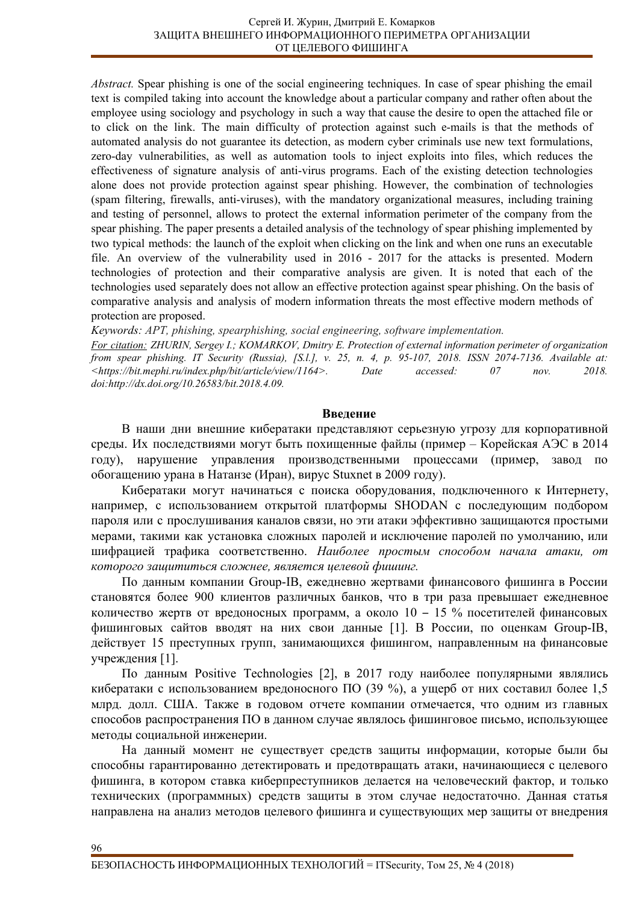*Abstract.* Spear phishing is one of the social engineering techniques. In case of spear phishing the email text is compiled taking into account the knowledge about a particular company and rather often about the employee using sociology and psychology in such a way that cause the desire to open the attached file or to click on the link. The main difficulty of protection against such e-mails is that the methods of automated analysis do not guarantee its detection, as modern cyber criminals use new text formulations, zero-day vulnerabilities, as well as automation tools to inject exploits into files, which reduces the effectiveness of signature analysis of anti-virus programs. Each of the existing detection technologies alone does not provide protection against spear phishing. However, the combination of technologies (spam filtering, firewalls, anti-viruses), with the mandatory organizational measures, including training and testing of personnel, allows to protect the external information perimeter of the company from the spear phishing. The paper presents a detailed analysis of the technology of spear phishing implemented by two typical methods: the launch of the exploit when clicking on the link and when one runs an executable file. An overview of the vulnerability used in  $2016 - 2017$  for the attacks is presented. Modern technologies of protection and their comparative analysis are given. It is noted that each of the technologies used separately does not allow an effective protection against spear phishing. On the basis of comparative analysis and analysis of modern information threats the most effective modern methods of protection are proposed.

*Keywords: APT, phishing, spearphishing, social engineering, software implementation.*

*For citation: ZHURIN, Sergey I.; KOMARKOV, Dmitry E. Protection of external information perimeter of organization from spear phishing. IT Security (Russia), [S.l.], v. 25, n. 4, p . 95-107, 2018. ISSN 2074-7136. Available at: <https://bit.mephi.ru/index.php/bit/article/view/1164>. Date accessed: 07 nov. 2018. doi:http://dx.doi.org/10.26583/bit.2018.4.09.* 

### **Ввеление**

В наши дни внешние кибератаки представляют серьезную угрозу для корпоративной среды. Их последствиями могут быть похищенные файлы (пример – Корейская АЭС в 2014 году), нарушение управления производственными процессами (пример, завод по обогащению урана в Натанзе (Иран), вирус Stuxnet в 2009 году).

Кибератаки могут начинаться с поиска оборудования, подключенного к Интернету, например, с использованием открытой платформы SHODAN с последующим подбором пароля или с прослушивания каналов связи, но эти атаки эффективно защищаются простыми мерами, такими как установка сложных паролей и исключение паролей по умолчанию, или шифрацией трафика соответственно. Наиболее простым способом начала атаки, от которого защититься сложнее, является целевой фишинг.

По данным компании Group-IB, ежедневно жертвами финансового фишинга в России становятся более 900 клиентов различных банков, что в три раза превышает ежедневное количество жертв от вредоносных программ, а около  $10 - 15$  % посетителей финансовых фишинговых сайтов вводят на них свои данные [1]. В России, по оценкам Group-IB, действует 15 преступных групп, занимающихся фишингом, направленным на финансовые учреждения [1].

По данным Positive Technologies [2], в 2017 году наиболее популярными являлись кибератаки с использованием вредоносного ПО (39 %), а ущерб от них составил более 1,5 млрд. долл. США. Также в годовом отчете компании отмечается, что одним из главных способов распространения ПО в данном случае являлось фишинговое письмо, использующее методы социальной инженерии.

На данный момент не существует средств защиты информации, которые были бы способны гарантированно детектировать и предотвращать атаки, начинающиеся с целевого фишинга, в котором ставка киберпреступников делается на человеческий фактор, и только технических (программных) средств защиты в этом случае недостаточно. Данная статья направлена на анализ методов целевого фишинга и существующих мер защиты от внедрения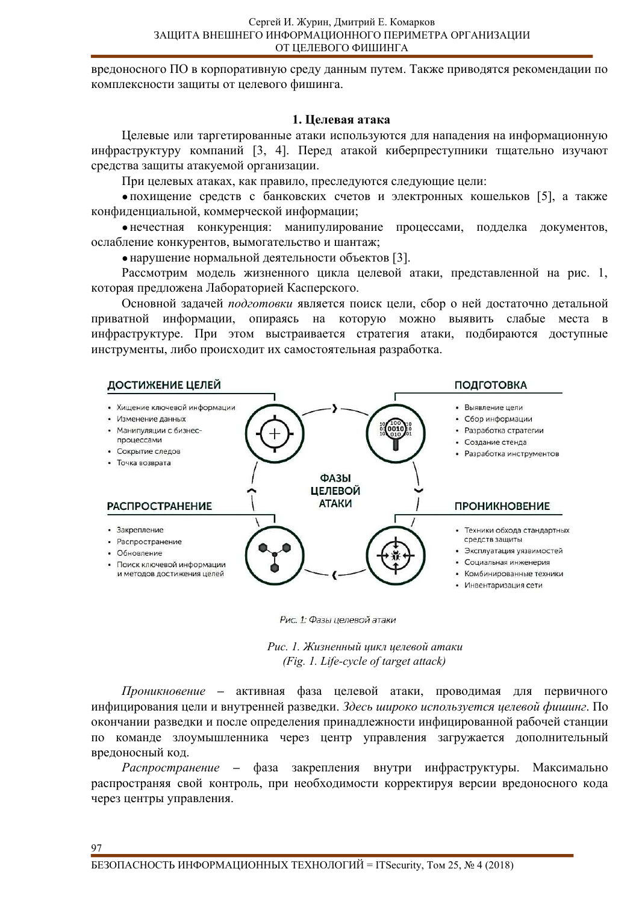вредоносного ПО в корпоративную среду данным путем. Также приводятся рекомендации по комплексности защиты от целевого фишинга.

#### **1. Целевая атака**

Целевые или таргетированные атаки используются для нападения на информационную инфраструктуру компаний [3, 4]. Перед атакой киберпреступники тщательно изучают средства защиты атакуемой организации.

При целевых атаках, как правило, преследуются следующие цели:

• похищение средств с банковских счетов и электронных кошельков [5], а также конфиденциальной, коммерческой информации;

•нечестная конкуренция: манипулирование процессами, подделка документов, ослабление конкурентов, вымогательство и шантаж;

• нарушение нормальной деятельности объектов [3].

Рассмотрим модель жизненного цикла целевой атаки, представленной на рис. 1, которая предложена Лабораторией Касперского.

Основной задачей подготовки является поиск цели, сбор о ней достаточно детальной приватной информации, опираясь на которую можно выявить слабые места в инфраструктуре. При этом выстраивается стратегия атаки, подбираются доступные инструменты, либо происходит их самостоятельная разработка.



Рис. 1: Фазы целевой атаки

Рис. 1. Жизненный цикл целевой атаки *(Fig. 1. Life-cycle of target attack)* 

*Проникновение* – активная фаза целевой атаки, проводимая для первичного инфицирования цели и внутренней разведки. Здесь широко используется целевой фишинг. По окончании разведки и после определения принадлежности инфицированной рабочей станции по команде злоумышленника через центр управления загружается дополнительный вредоносный код.

*Распространение* – фаза закрепления внутри инфраструктуры. Максимально распространяя свой контроль, при необходимости корректируя версии вредоносного кода через центры управления.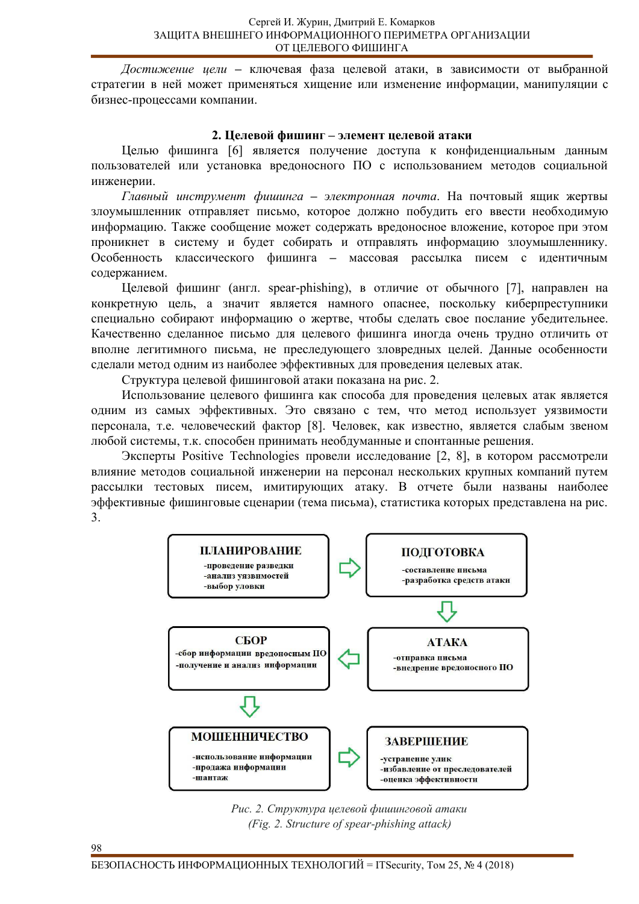Достижение иели – ключевая фаза целевой атаки, в зависимости от выбранной стратегии в ней может применяться хищение или изменение информации, манипуляции с бизнес-процессами компании.

## 2. Целевой фишинг – элемент целевой атаки

Целью фишинга [6] является получение доступа к конфиденциальным данным пользователей или установка вредоносного ПО с использованием методов социальной инженерии.

Главный инструмент фишинга – электронная почта. На почтовый ящик жертвы злоумышленник отправляет письмо, которое должно побудить его ввести необходимую информацию. Также сообщение может содержать вредоносное вложение, которое при этом проникнет в систему и будет собирать и отправлять информацию злоумышленнику. Особенность классического фишинга – массовая рассылка писем с идентичным содержанием.

Целевой фишинг (англ. spear-phishing), в отличие от обычного [7], направлен на конкретную цель, а значит является намного опаснее, поскольку киберпреступники специально собирают информацию о жертве, чтобы сделать свое послание убедительнее. Качественно сделанное письмо для целевого фишинга иногда очень трудно отличить от вполне легитимного письма, не преследующего зловредных целей. Данные особенности сделали метод одним из наиболее эффективных для проведения целевых атак.

Структура целевой фишинговой атаки показана на рис. 2.

Использование целевого фишинга как способа для проведения целевых атак является одним из самых эффективных. Это связано с тем, что метод использует уязвимости персонала, т.е. человеческий фактор [8]. Человек, как известно, является слабым звеном любой системы, т.к. способен принимать необдуманные и спонтанные решения.

Эксперты Positive Technologies провели исследование [2, 8], в котором рассмотрели влияние методов социальной инженерии на персонал нескольких крупных компаний путем рассылки тестовых писем, имитирующих атаку. В отчете были названы наиболее эффективные фишинговые сценарии (тема письма), статистика которых представлена на рис. 3.



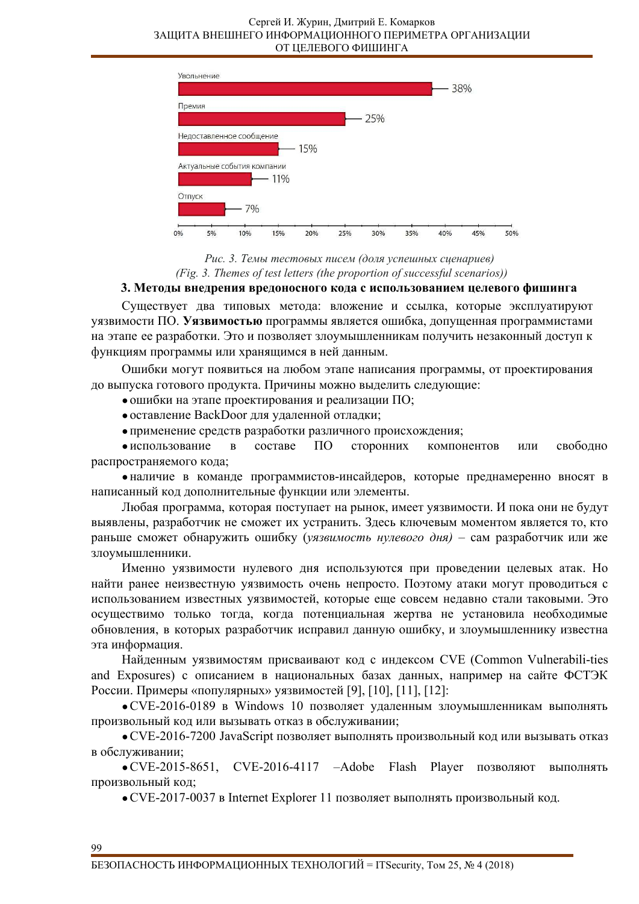

Рис. 3. Темы тестовых писем (доля успешных сиенариев) *(Fig. 3. Themes of test letters (the proportion of successful scenarios))* 

### 3. Методы внедрения вредоносного кода с использованием целевого фишинга

Существует два типовых метода: вложение и ссылка, которые эксплуатируют уязвимости ПО. Уязвимостью программы является ошибка, допущенная программистами на этапе ее разработки. Это и позволяет злоумышленникам получить незаконный доступ к функциям программы или хранящимся в ней данным.

Ошибки могут появиться на любом этапе написания программы, от проектирования до выпуска готового продукта. Причины можно выделить следующие:

• ошибки на этапе проектирования и реализации ПО;

• оставление BackDoor для удаленной отладки;

• применение средств разработки различного происхождения;

• использование в составе ПО сторонних компонентов или свободно распространяемого кода;

• наличие в команде программистов-инсайдеров, которые преднамеренно вносят в написанный код дополнительные функции или элементы.

Любая программа, которая поступает на рынок, имеет уязвимости. И пока они не будут выявлены, разработчик не сможет их устранить. Здесь ключевым моментом является то, кто раньше сможет обнаружить ошибку (уязвимость нулевого дня) - сам разработчик или же злоумышленники.

Именно уязвимости нулевого дня используются при проведении целевых атак. Но найти ранее неизвестную уязвимость очень непросто. Поэтому атаки могут проводиться с использованием известных уязвимостей, которые еще совсем недавно стали таковыми. Это осуществимо только тогда, когда потенциальная жертва не установила необходимые обновления, в которых разработчик исправил данную ошибку, и злоумышленнику известна эта информация.

Найденным уязвимостям присваивают код с индексом CVE (Common Vulnerabili-ties and Exposures) с описанием в национальных базах данных, например на сайте ФСТЭК России. Примеры «популярных» уязвимостей [9], [10], [11], [12]:

• CVE-2016-0189 в Windows 10 позволяет удаленным злоумышленникам выполнять произвольный код или вызывать отказ в обслуживании;

• CVE-2016-7200 JavaScript позволяет выполнять произвольный код или вызывать отказ в обслуживании;

• CVE-2015-8651, CVE-2016-4117 – Adobe Flash Player позволяют выполнять произвольный код;

• CVE-2017-0037 в Internet Explorer 11 позволяет выполнять произвольный код.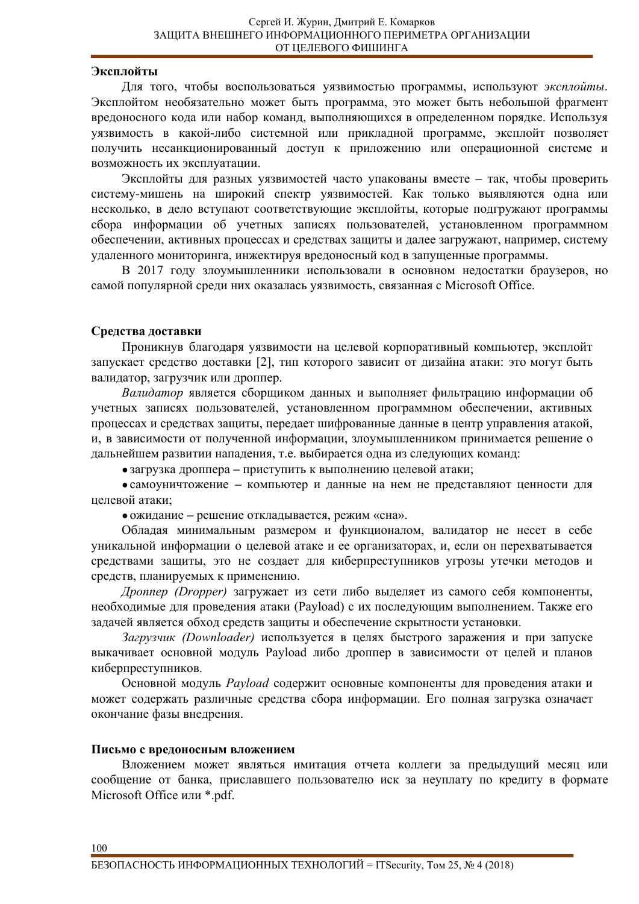## Эксплойты

Для того, чтобы воспользоваться уязвимостью программы, используют эксплойты. Эксплойтом необязательно может быть программа, это может быть небольшой фрагмент вредоносного кода или набор команд, выполняющихся в определенном порядке. Используя уязвимость в какой-либо системной или прикладной программе, эксплойт позволяет получить несанкционированный доступ к приложению или операционной системе и возможность их эксплуатации.

Эксплойты для разных уязвимостей часто упакованы вместе - так, чтобы проверить систему-мишень на широкий спектр уязвимостей. Как только выявляются одна или несколько, в дело вступают соответствующие эксплойты, которые подгружают программы сбора информации об учетных записях пользователей, установленном программном обеспечении, активных процессах и средствах защиты и далее загружают, например, систему удаленного мониторинга, инжектируя вредоносный код в запущенные программы.

В 2017 году злоумышленники использовали в основном недостатки браузеров, но самой популярной среди них оказалась уязвимость, связанная с Microsoft Office.

### Средства доставки

Проникнув благодаря уязвимости на целевой корпоративный компьютер, эксплойт запускает средство доставки [2], тип которого зависит от дизайна атаки: это могут быть валидатор, загрузчик или дроппер.

Валидатор является сборщиком данных и выполняет фильтрацию информации об учетных записях пользователей, установленном программном обеспечении, активных процессах и средствах защиты, передает шифрованные данные в центр управления атакой, и, в зависимости от полученной информации, злоумышленником принимается решение о дальнейшем развитии нападения, т.е. выбирается одна из следующих команд:

• загрузка дроппера – приступить к выполнению целевой атаки;

• самоуничтожение – компьютер и данные на нем не представляют ценности для целевой атаки;

• ожидание - решение откладывается, режим «сна».

Обладая минимальным размером и функционалом, валидатор не несет в себе уникальной информации о целевой атаке и ее организаторах, и, если он перехватывается средствами защиты, это не создает для киберпреступников угрозы утечки методов и средств, планируемых к применению.

*Дроппер (Dropper)* загружает из сети либо выделяет из самого себя компоненты, необходимые для проведения атаки (Payload) с их последующим выполнением. Также его задачей является обход средств защиты и обеспечение скрытности установки.

Загрузчик (Downloader) используется в целях быстрого заражения и при запуске выкачивает основной модуль Payload либо дроппер в зависимости от целей и планов киберпреступников.

Основной модуль Payload содержит основные компоненты для проведения атаки и может содержать различные средства сбора информации. Его полная загрузка означает окончание фазы внедрения.

### Письмо с вредоносным вложением

Вложением может являться имитация отчета коллеги за предыдущий месяц или сообщение от банка, приславшего пользователю иск за неуплату по кредиту в формате Microsoft Office или \*.pdf.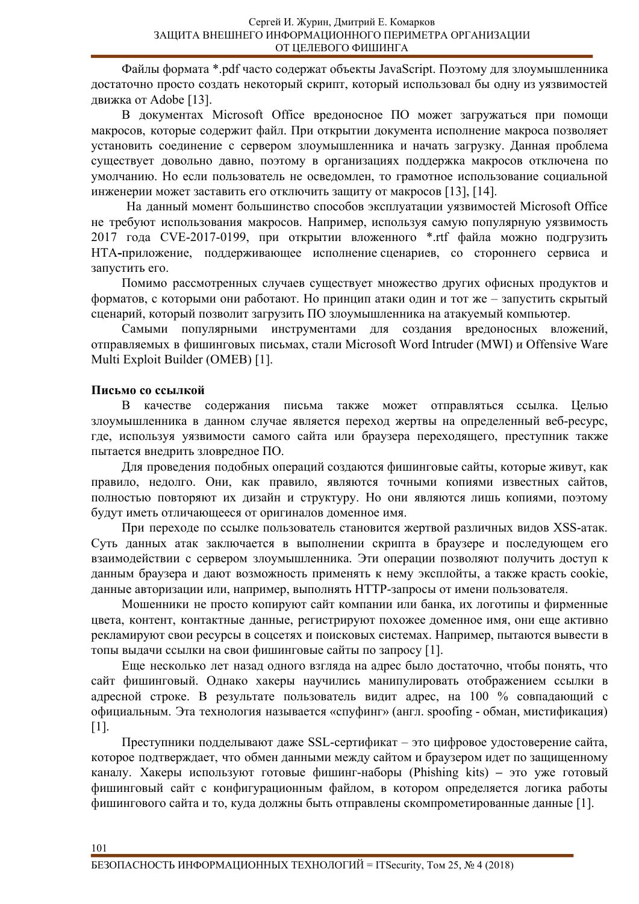Файлы формата \*.pdf часто содержат объекты JavaScript. Поэтому для злоумышленника достаточно просто создать некоторый скрипт, который использовал бы одну из уязвимостей движка от Adobe [13].

В документах Microsoft Office вредоносное ПО может загружаться при помощи макросов, которые содержит файл. При открытии документа исполнение макроса позволяет установить соединение с сервером злоумышленника и начать загрузку. Данная проблема существует довольно давно, поэтому в организациях поддержка макросов отключена по умолчанию. Но если пользователь не осведомлен, то грамотное использование социальной инженерии может заставить его отключить защиту от макросов [13], [14].

На данный момент большинство способов эксплуатации уязвимостей Microsoft Office не требуют использования макросов. Например, используя самую популярную уязвимость 2017 года CVE-2017-0199, при открытии вложенного \*.rtf файла можно подгрузить НТА-приложение, поддерживающее исполнение сценариев, со стороннего сервиса и запустить его.

Помимо рассмотренных случаев существует множество других офисных продуктов и форматов, с которыми они работают. Но принцип атаки один и тот же – запустить скрытый сценарий, который позволит загрузить ПО злоумышленника на атакуемый компьютер.

Самыми популярными инструментами для создания вредоносных вложений, отправляемых в фишинговых письмах, стали Microsoft Word Intruder (MWI) и Offensive Ware Multi Exploit Builder (OMEB) [1].

# Письмо со ссылкой

101

В качестве содержания письма также может отправляться ссылка. Целью злоумышленника в данном случае является переход жертвы на определенный веб-ресурс, где, используя уязвимости самого сайта или браузера переходящего, преступник также пытается внедрить зловредное ПО.

Для проведения подобных операций создаются фишинговые сайты, которые живут, как правило, недолго. Они, как правило, являются точными копиями известных сайтов, полностью повторяют их дизайн и структуру. Но они являются лишь копиями, поэтому будут иметь отличающееся от оригиналов доменное имя.

При переходе по ссылке пользователь становится жертвой различных видов XSS-атак. Суть данных атак заключается в выполнении скрипта в браузере и последующем его взаимодействии с сервером злоумышленника. Эти операции позволяют получить доступ к данным браузера и дают возможность применять к нему эксплойты, а также красть cookie, данные авторизации или, например, выполнять HTTP-запросы от имени пользователя.

Мошенники не просто копируют сайт компании или банка, их логотипы и фирменные цвета, контент, контактные данные, регистрируют похожее доменное имя, они еще активно рекламируют свои ресурсы в соцсетях и поисковых системах. Например, пытаются вывести в топы выдачи ссылки на свои фишинговые сайты по запросу [1].

Еще несколько лет назад одного взгляда на адрес было достаточно, чтобы понять, что сайт фишинговый. Однако хакеры научились манипулировать отображением ссылки в адресной строке. В результате пользователь видит адрес, на 100 % совпадающий с официальным. Эта технология называется «спуфинг» (англ. spoofing - обман, мистификация) [1].

Преступники подделывают даже SSL-сертификат – это цифровое удостоверение сайта, которое подтверждает, что обмен данными между сайтом и браузером идет по защищенному каналу. Хакеры используют готовые фишинг-наборы (Phishing kits) – это уже готовый фишинговый сайт с конфигурационным файлом, в котором определяется логика работы фишингового сайта и то, куда должны быть отправлены скомпрометированные данные [1].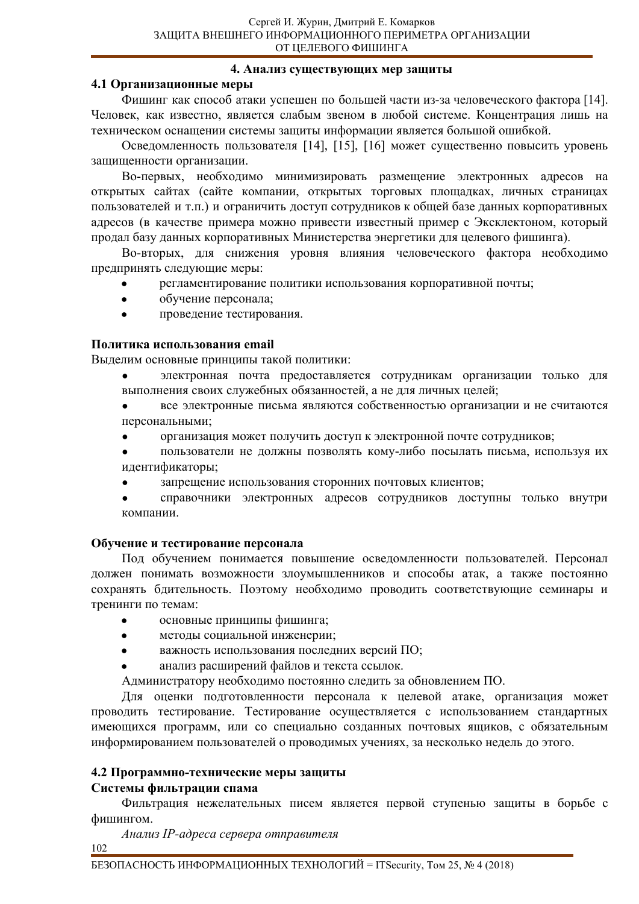# 4. Анализ существующих мер защиты

# 4.1 Организационные меры

Фишинг как способ атаки успешен по большей части из-за человеческого фактора [14]. Человек, как известно, является слабым звеном в любой системе. Концентрация лишь на техническом оснащении системы защиты информации является большой ошибкой.

Осведомленность пользователя [14], [15], [16] может существенно повысить уровень защищенности организации.

Во-первых, необходимо минимизировать размещение электронных адресов на открытых сайтах (сайте компании, открытых торговых площадках, личных страницах пользователей и т.п.) и ограничить доступ сотрудников к общей базе данных корпоративных адресов (в качестве примера можно привести известный пример с Эксклектоном, который продал базу данных корпоративных Министерства энергетики для целевого фишинга).

Во-вторых, для снижения уровня влияния человеческого фактора необходимо предпринять следующие меры:

- регламентирование политики использования корпоративной почты;
- обучение персонала;
- проведение тестирования.

# Политика использования email

Выделим основные принципы такой политики:

• электронная почта предоставляется сотрудникам организации только для выполнения своих служебных обязанностей, а не для личных целей;

все электронные письма являются собственностью организации и не считаются персональными;

- ɨɪɝɚɧɢɡɚɰɢɹ ɦɨɠɟɬ ɩɨɥɭɱɢɬɶ ɞɨɫɬɭɩ ɤ ɷɥɟɤɬɪɨɧɧɨɣ ɩɨɱɬɟ ɫɨɬɪɭɞɧɢɤɨɜ;
- пользователи не должны позволять кому-либо посылать письма, используя их идентификаторы;
- запрещение использования сторонних почтовых клиентов;
- справочники электронных адресов сотрудников доступны только внутри компании.

# Обучение и тестирование персонала

Под обучением понимается повышение осведомленности пользователей. Персонал должен понимать возможности злоумышленников и способы атак, а также постоянно сохранять бдительность. Поэтому необходимо проводить соответствующие семинары и тренинги по темам:

- основные принципы фишинга;
- методы социальной инженерии;
- важность использования последних версий ПО;
- анализ расширений файлов и текста ссылок.

Администратору необходимо постоянно следить за обновлением ПО.

Для оценки подготовленности персонала к целевой атаке, организация может проводить тестирование. Тестирование осуществляется с использованием стандартных имеющихся программ, или со специально созданных почтовых ящиков, с обязательным информированием пользователей о проводимых учениях, за несколько недель до этого.

# 4.2 Программно-технические меры защиты

# Системы фильтрации спама

Фильтрация нежелательных писем является первой ступенью защиты в борьбе с фишингом.

 $A$ нализ IP-адреса сервера отправителя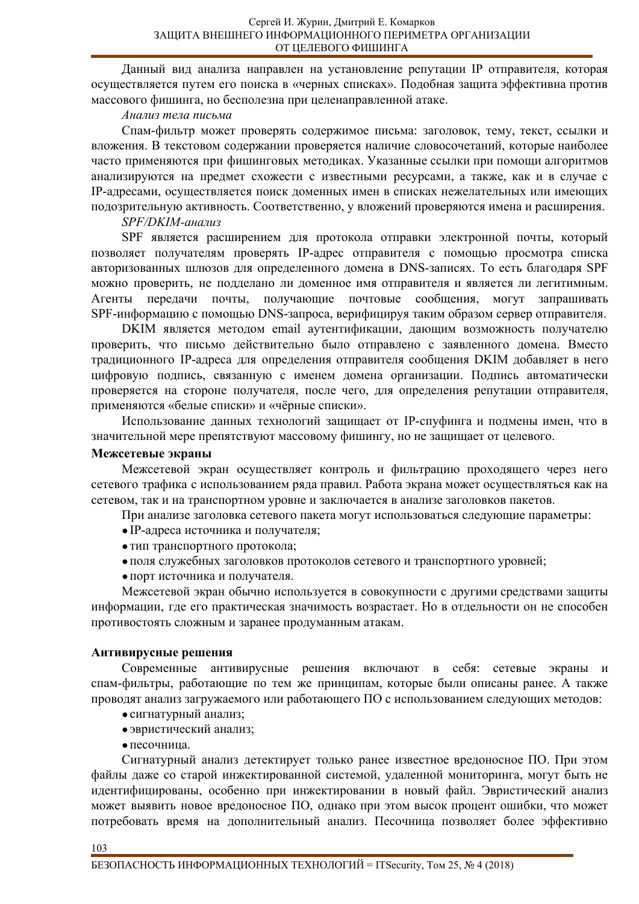Данный вид анализа направлен на установление репутации IP отправителя, которая осуществляется путем его поиска в «черных списках». Подобная защита эффективна против массового фишинга, но бесполезна при целенаправленной атаке.

## $A$ нализ тела письма

Спам-фильтр может проверять содержимое письма: заголовок, тему, текст, ссылки и вложения. В текстовом содержании проверяется наличие словосочетаний, которые наиболее часто применяются при фишинговых методиках. Указанные ссылки при помощи алгоритмов анализируются на предмет схожести с известными ресурсами, а также, как и в случае с IP-адресами, осуществляется поиск доменных имен в списках нежелательных или имеющих подозрительную активность. Соответственно, у вложений проверяются имена и расширения.

### SPF/DKIM-анализ

SPF является расширением для протокола отправки электронной почты, который позволяет получателям проверять IP-адрес отправителя с помощью просмотра списка авторизованных шлюзов для определенного домена в DNS-записях. То есть благодаря SPF можно проверить, не подделано ли доменное имя отправителя и является ли легитимным. Агенты передачи почты, получающие почтовые сообщения, могут запрашивать SPF-информацию с помощью DNS-запроса, верифицируя таким образом сервер отправителя.

DKIM является методом email аутентификации, дающим возможность получателю проверить, что письмо действительно было отправлено с заявленного домена. Вместо традиционного IP-адреса для определения отправителя сообщения DKIM добавляет в него цифровую подпись, связанную с именем домена организации. Подпись автоматически проверяется на стороне получателя, после чего, для определения репутации отправителя, применяются «белые списки» и «чёрные списки».

Использование данных технологий защищает от IP-спуфинга и подмены имен, что в значительной мере препятствуют массовому фишингу, но не защищает от целевого.

### Межсетевые экраны

Межсетевой экран осуществляет контроль и фильтрацию проходящего через него сетевого трафика с использованием ряда правил. Работа экрана может осуществляться как на сетевом, так и на транспортном уровне и заключается в анализе заголовков пакетов.

При анализе заголовка сетевого пакета могут использоваться следующие параметры:

- IP-адреса источника и получателя;
- тип транспортного протокола;
- поля служебных заголовков протоколов сетевого и транспортного уровней;
- порт источника и получателя.

Межсетевой экран обычно используется в совокупности с другими средствами защиты информации, где его практическая значимость возрастает. Но в отдельности он не способен противостоять сложным и заранее продуманным атакам.

# Антивирусные решения

Современные антивирусные решения включают в себя: сетевые экраны и спам-фильтры, работающие по тем же принципам, которые были описаны ранее. А также проводят анализ загружаемого или работающего ПО с использованием следующих методов:

- сигнатурный анализ;
- эвристический анализ;
- песочница.

Сигнатурный анализ детектирует только ранее известное вредоносное ПО. При этом файлы даже со старой инжектированной системой, удаленной мониторинга, могут быть не идентифицированы, особенно при инжектировании в новый файл. Эвристический анализ может выявить новое вредоносное ПО, однако при этом высок процент ошибки, что может потребовать время на дополнительный анализ. Песочница позволяет более эффективно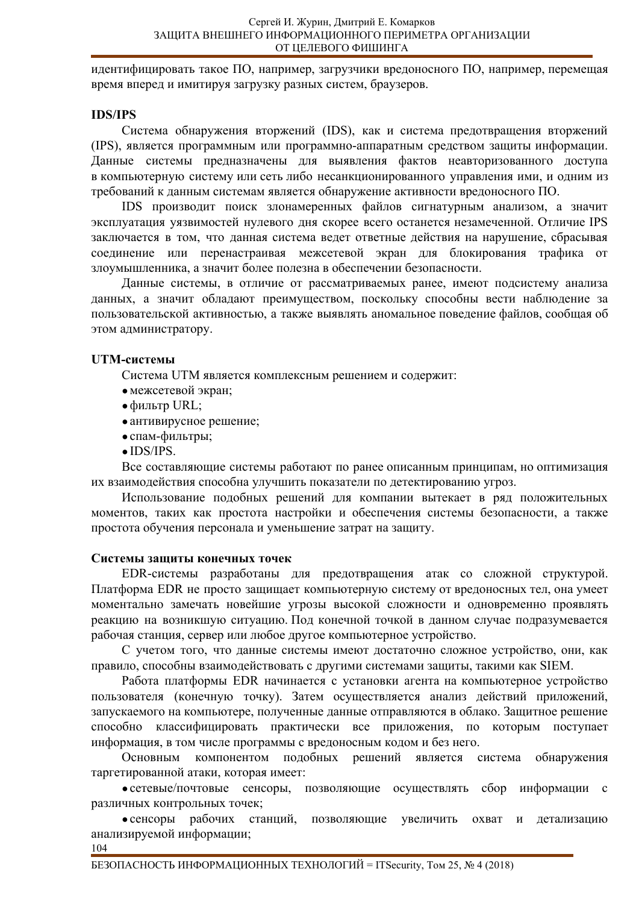идентифицировать такое ПО, например, загрузчики вредоносного ПО, например, перемещая время вперед и имитируя загрузку разных систем, браузеров.

# **IDS/IPS**

Система обнаружения вторжений (IDS), как и система предотвращения вторжений (IPS), является программным или программно-аппаратным средством защиты информации. Данные системы предназначены для выявления фактов неавторизованного доступа в компьютерную систему или сеть либо несанкционированного управления ими, и одним из требований к данным системам является обнаружение активности вредоносного ПО.

IDS производит поиск злонамеренных файлов сигнатурным анализом, а значит эксплуатация уязвимостей нулевого дня скорее всего останется незамеченной. Отличие IPS заключается в том, что данная система ведет ответные действия на нарушение, сбрасывая соединение или перенастраивая межсетевой экран для блокирования трафика от злоумышленника, а значит более полезна в обеспечении безопасности.

Данные системы, в отличие от рассматриваемых ранее, имеют подсистему анализа данных, а значит обладают преимуществом, поскольку способны вести наблюдение за пользовательской активностью, а также выявлять аномальное поведение файлов, сообщая об этом администратору.

# **UTM-системы**

Система UTM является комплексным решением и содержит:

- межсетевой экран;
- фильтр URL;
- антивирусное решение;
- спам-фильтры;
- $\bullet$  IDS/IPS.

Все составляющие системы работают по ранее описанным принципам, но оптимизация их взаимодействия способна улучшить показатели по детектированию угроз.

Использование подобных решений для компании вытекает в ряд положительных моментов, таких как простота настройки и обеспечения системы безопасности, а также простота обучения персонала и уменьшение затрат на защиту.

# Системы защиты конечных точек

EDR-системы разработаны для предотвращения атак со сложной структурой. Платформа EDR не просто защищает компьютерную систему от вредоносных тел, она умеет моментально замечать новейшие угрозы высокой сложности и одновременно проявлять реакцию на возникшую ситуацию. Под конечной точкой в данном случае подразумевается рабочая станция, сервер или любое другое компьютерное устройство.

С учетом того, что данные системы имеют достаточно сложное устройство, они, как правило, способны взаимодействовать с другими системами защиты, такими как SIEM.

Работа платформы EDR начинается с установки агента на компьютерное устройство пользователя (конечную точку). Затем осуществляется анализ действий приложений, запускаемого на компьютере, полученные данные отправляются в облако. Защитное решение способно классифицировать практически все приложения, по которым поступает информация, в том числе программы с вредоносным кодом и без него.

Основным компонентом подобных решений является система обнаружения таргетированной атаки, которая имеет:

• сетевые/почтовые сенсоры, позволяющие осуществлять сбор информации с различных контрольных точек;

• сенсоры рабочих станций, позволяющие увеличить охват и детализацию анализируемой информации;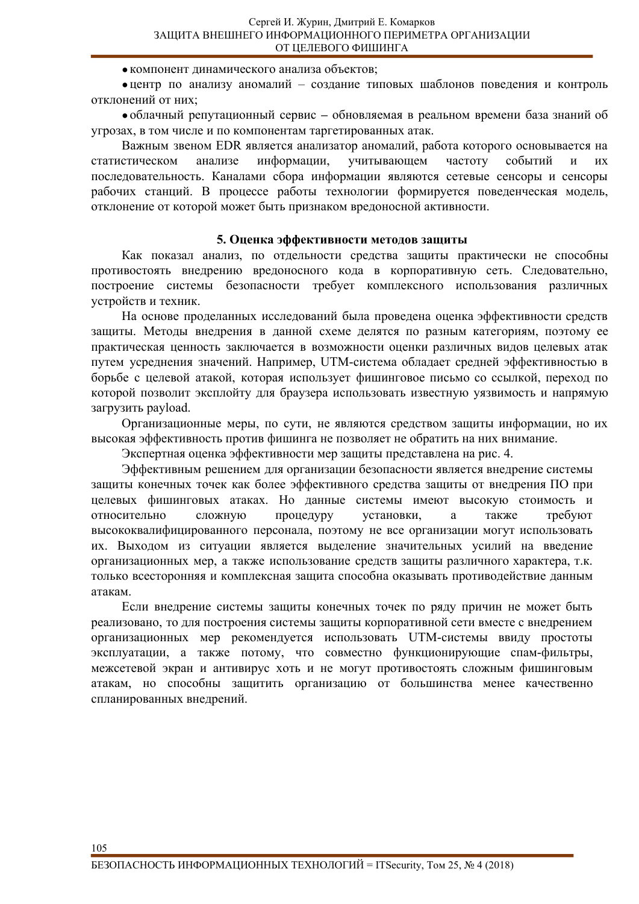• компонент динамического анализа объектов;

•центр по анализу аномалий – создание типовых шаблонов поведения и контроль отклонений от них;

• облачный репутационный сервис – обновляемая в реальном времени база знаний об угрозах, в том числе и по компонентам таргетированных атак.

Важным звеном EDR является анализатор аномалий, работа которого основывается на статистическом анализе информации, учитывающем частоту событий и их последовательность. Каналами сбора информации являются сетевые сенсоры и сенсоры рабочих станций. В процессе работы технологии формируется поведенческая модель, отклонение от которой может быть признаком вредоносной активности.

### 5. Оценка эффективности методов защиты

Как показал анализ, по отдельности средства защиты практически не способны противостоять внедрению вредоносного кода в корпоративную сеть. Следовательно, построение системы безопасности требует комплексного использования различных устройств и техник.

На основе проделанных исследований была проведена оценка эффективности средств защиты. Методы внедрения в данной схеме делятся по разным категориям, поэтому ее практическая ценность заключается в возможности оценки различных видов целевых атак путем усреднения значений. Например, UTM-система обладает средней эффективностью в борьбе с целевой атакой, которая использует фишинговое письмо со ссылкой, переход по которой позволит эксплойту для браузера использовать известную уязвимость и напрямую загрузить payload.

Организационные меры, по сути, не являются средством защиты информации, но их высокая эффективность против фишинга не позволяет не обратить на них внимание.

Экспертная оценка эффективности мер защиты представлена на рис. 4.

Эффективным решением для организации безопасности является внедрение системы защиты конечных точек как более эффективного средства защиты от внедрения ПО при целевых фишинговых атаках. Но данные системы имеют высокую стоимость и относительно сложную процедуру установки, а также требуют высококвалифицированного персонала, поэтому не все организации могут использовать их. Выходом из ситуации является выделение значительных усилий на введение организационных мер, а также использование средств защиты различного характера, т.к. только всесторонняя и комплексная защита способна оказывать противодействие данным атакам.

Если внедрение системы защиты конечных точек по ряду причин не может быть реализовано, то для построения системы защиты корпоративной сети вместе с внедрением организационных мер рекомендуется использовать UTM-системы ввиду простоты эксплуатации, а также потому, что совместно функционирующие спам-фильтры, межсетевой экран и антивирус хоть и не могут противостоять сложным фишинговым атакам, но способны защитить организацию от большинства менее качественно спланированных внедрений.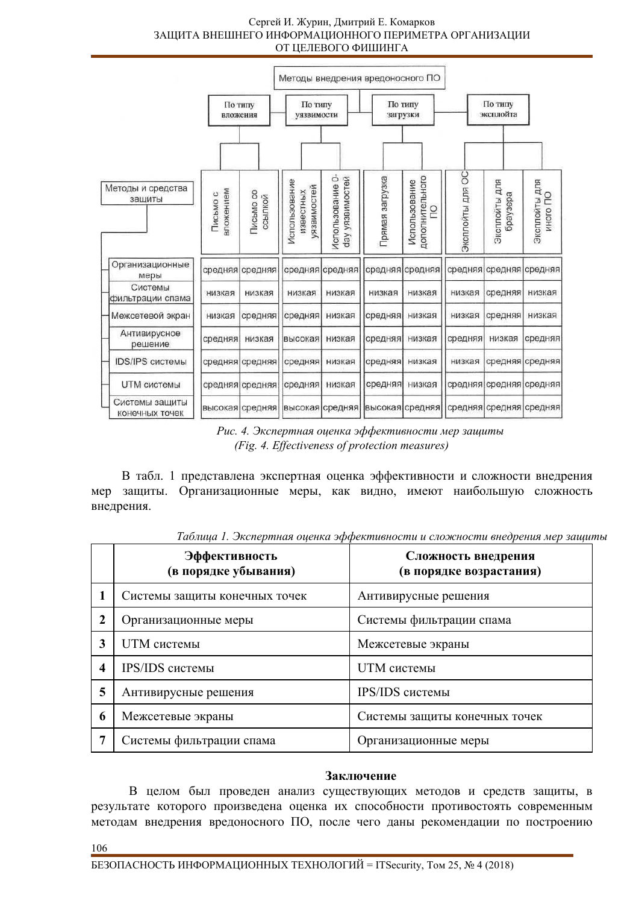#### Сергей И. Журин, Дмитрий Е. Комарков ЗАЩИТА ВНЕШНЕГО ИНФОРМАЦИОННОГО ПЕРИМЕТРА ОРГАНИЗАЦИИ ОТ ЦЕЛЕВОГО ФИШИНГА



Рис. 4. Экспертная оценка эффективности мер защиты *(Fig. 4. Effectiveness of protection measures)* 

В табл. 1 представлена экспертная оценка эффективности и сложности внедрения мер защиты. Организационные меры, как видно, имеют наибольшую сложность внедрения.

|              | Эффективность<br>(в порядке убывания) | Сложность внедрения<br>(в порядке возрастания) |
|--------------|---------------------------------------|------------------------------------------------|
|              | Системы защиты конечных точек         | Антивирусные решения                           |
| $\mathbf{2}$ | Организационные меры                  | Системы фильтрации спама                       |
| 3            | UTM системы                           | Межсетевые экраны                              |
| 4            | IPS/IDS системы                       | UTM системы                                    |
| 5            | Антивирусные решения                  | IPS/IDS системы                                |
| 6            | Межсетевые экраны                     | Системы защиты конечных точек                  |
| 7            | Системы фильтрации спама              | Организационные меры                           |

Таблииа 1. Экспертная оиенка эффективности и сложности внедрения мер зашиты

# Заключение

В целом был проведен анализ существующих методов и средств защиты, в результате которого произведена оценка их способности противостоять современным методам внедрения вредоносного ПО, после чего даны рекомендации по построению

106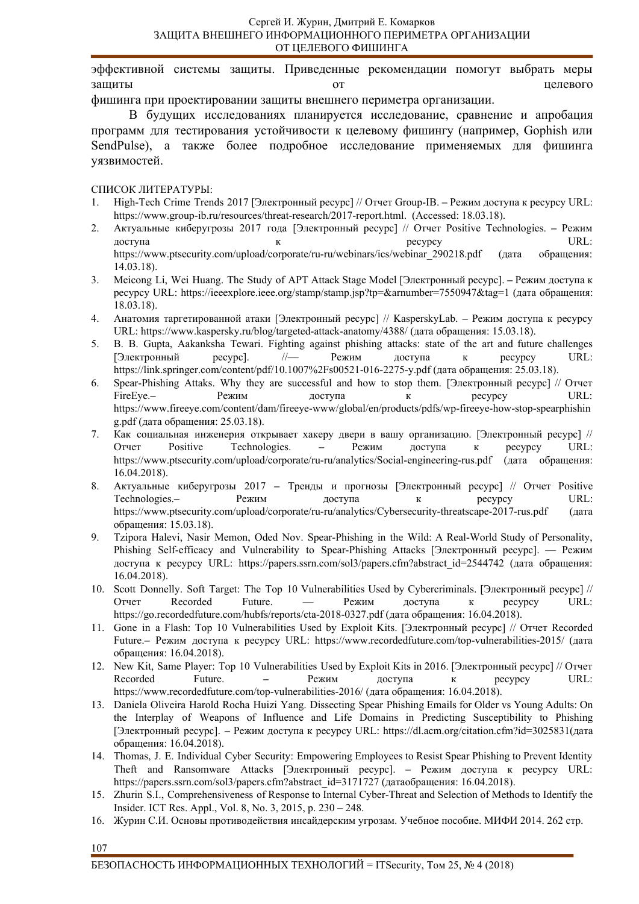эффективной системы защиты. Приведенные рекомендации помогут выбрать меры защиты с последнить эт от принятно так и непевого

фишинга при проектировании защиты внешнего периметра организации.

В будущих исследованиях планируется исследование, сравнение и апробация программ для тестирования устойчивости к целевому фишингу (например, Gophish или SendPulse), а также более подробное исследование применяемых для фишинга уязвимостей.

СПИСОК ЛИТЕРАТУРЫ:

- 1. Нigh-Tech Crime Trends 2017 [Электронный ресурс] // Отчет Group-IB. Режим доступа к ресурсу URL: https://www.group-ib.ru/resources/threat-research/2017-report.html. (Accessed: 18.03.18).
- 2. Актуальные киберугрозы 2017 года [Электронный ресурс] // Отчет Positive Technologies. Режим доступа с в к к ресурсу URL: https://www.ptsecurity.com/upload/corporate/ru-ru/webinars/ics/webinar 290218.pdf (дата обращения: 14.03.18).
- 3. Meicong Li, Wei Huang. The Study of APT Attack Stage Model [Электронный ресурс]. Режим доступа к pecypcy URL: https://ieeexplore.ieee.org/stamp/stamp.jsp?tp=&arnumber=7550947&tag=1 (дата обращения: 18.03.18).
- 4. Анатомия таргетированной атаки [Электронный ресурс] // KasperskyLab. Режим доступа к ресурсу URL: https://www.kaspersky.ru/blog/targeted-attack-anatomy/4388/ (дата обращения: 15.03.18).
- 5. B. B. Gupta, Aakanksha Tewari. Fighting against phishing a ttacks: state of the art and future challenges [Электронный ресурс]. // Режим доступа к ресурсу URL: https://link.springer.com/content/pdf/10.1007%2Fs00521-016-2275-y.pdf (дата обращения: 25.03.18).
- 6. Spear-Phishing Attaks. Why they are successful and how to stop them. [Электронный ресурс] // Отчет FireEye.**–** Ɋɟɠɢɦ ɞɨɫɬɭɩɚ ɤ ɪɟɫɭɪɫɭ URL: https://www.fireeye.com/content/dam/fireeye-www/global/en/products/pdfs/wp-fireeye-how-stop-spearphishin g.pdf (дата обращения: 25.03.18).
- 7. Как социальная инженерия открывает хакеру двери в вашу организацию. [Электронный ресурс] // Ɉɬɱɟɬ Positive Technologies. **–** Ɋɟɠɢɦ ɞɨɫɬɭɩɚ ɤ ɪɟɫɭɪɫɭ URL: https://www.ptsecurity.com/upload/corporate/ru-ru/analytics/Social-engineering-rus.pdf (дата обращения: 16.04.2018).
- 8. Актуальные киберугрозы 2017 Тренды и прогнозы [Электронный ресурс] // Отчет Positive Technologies.**–** Ɋɟɠɢɦ ɞɨɫɬɭɩɚ ɤ ɪɟɫɭɪɫɭ URL: https://www.ptsecurity.com/upload/corporate/ru-ru/analytics/Cybersecurity-threatscape-2017-rus.pdf (дата обращения: 15.03.18).
- 9. Tzipora Halevi, Nasir Memon, Oded Nov. Spear-Phishing in the W ild: A Real-World Study of Personality, Phishing Self-efficacy and Vulnerability to Spear-Phishing Attacks [Электронный ресурс]. — Режим доступа к ресурсу URL: https://papers.ssrn.com/sol3/papers.cfm?abstract\_id=2544742 (дата обращения: 16.04.2018).
- 10. Scott Donnelly. Soft Target: The Top 10 Vulnerabilities Used by Cybercriminals. [Электронный ресурс] // Oтчет Recorded Future. — Режим доступа к ресурсу URL: https://go.recordedfuture.com/hubfs/reports/cta-2018-0327.pdf (дата обращения: 16.04.2018).
- 11. Gone in a Flash: Top 10 Vulnerabilities Used by Exploit Kits. [Электронный ресурс] // Отчет Recorded Future. – Режим доступа к ресурсу URL: https://www.recordedfuture.com/top-vulnerabilities-2015/ (дата обращения: 16.04.2018).
- 12. New Kit, Same Player: Top 10 Vulnerabilities Used by Exploit Kits in 2016. [Электронный ресурс] // Отчет Recorded Future. – Режим доступа к ресурсу URL: https://www.recordedfuture.com/top-vulnerabilities-2016/ (дата обращения: 16.04.2018).
- 13. Daniela Oliveira Harold Rocha Huizi Yang. Dissecting Spea r Phishing Emails for Older vs Young Adults: On the Interplay of Weapons of Influence and Life Domains in Predicting Susceptibility to Phishing [Электронный ресурс]. - Режим доступа к ресурсу URL: https://dl.acm.org/citation.cfm?id=3025831(дата обращения: 16.04.2018).
- 14. Thomas, J. E. Individual Cyber Security: Empowering Employees to Resist Spear Phishing to Prevent Identity Theft and Ransomware Attacks [Электронный ресурс]. – Режим доступа к ресурсу URL: https://papers.ssrn.com/sol3/papers.cfm?abstract\_id=3171727 (датаобращения: 16.04.2018).
- 15. Zhurin S.I., Comprehensiveness of Response to Internal Cyber-Threat and Selection of Methods to Identify the Insider. ICT Res. Appl., Vol. 8, No. 3, 2015, p. 230 – 248.
- 16. Журин С.И. Основы противодействия инсайдерским угрозам. Учебное пособие. МИФИ 2014. 262 стр.